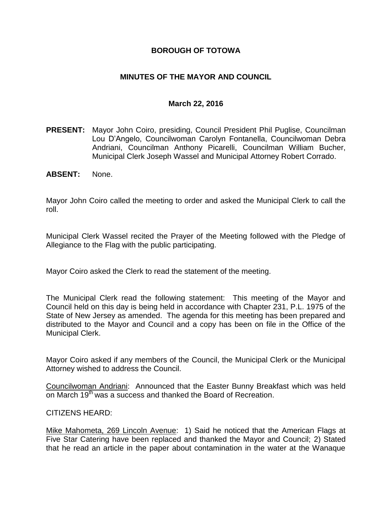## **BOROUGH OF TOTOWA**

## **MINUTES OF THE MAYOR AND COUNCIL**

#### **March 22, 2016**

- **PRESENT:** Mayor John Coiro, presiding, Council President Phil Puglise, Councilman Lou D'Angelo, Councilwoman Carolyn Fontanella, Councilwoman Debra Andriani, Councilman Anthony Picarelli, Councilman William Bucher, Municipal Clerk Joseph Wassel and Municipal Attorney Robert Corrado.
- **ABSENT:** None.

Mayor John Coiro called the meeting to order and asked the Municipal Clerk to call the roll.

Municipal Clerk Wassel recited the Prayer of the Meeting followed with the Pledge of Allegiance to the Flag with the public participating.

Mayor Coiro asked the Clerk to read the statement of the meeting.

The Municipal Clerk read the following statement: This meeting of the Mayor and Council held on this day is being held in accordance with Chapter 231, P.L. 1975 of the State of New Jersey as amended. The agenda for this meeting has been prepared and distributed to the Mayor and Council and a copy has been on file in the Office of the Municipal Clerk.

Mayor Coiro asked if any members of the Council, the Municipal Clerk or the Municipal Attorney wished to address the Council.

Councilwoman Andriani: Announced that the Easter Bunny Breakfast which was held on March 19<sup>th</sup> was a success and thanked the Board of Recreation.

#### CITIZENS HEARD:

Mike Mahometa, 269 Lincoln Avenue: 1) Said he noticed that the American Flags at Five Star Catering have been replaced and thanked the Mayor and Council; 2) Stated that he read an article in the paper about contamination in the water at the Wanaque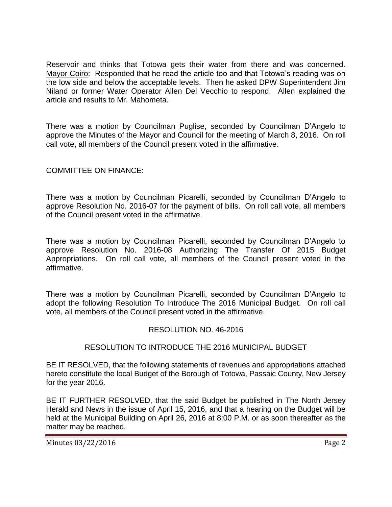Reservoir and thinks that Totowa gets their water from there and was concerned. Mayor Coiro: Responded that he read the article too and that Totowa's reading was on the low side and below the acceptable levels. Then he asked DPW Superintendent Jim Niland or former Water Operator Allen Del Vecchio to respond. Allen explained the article and results to Mr. Mahometa.

There was a motion by Councilman Puglise, seconded by Councilman D'Angelo to approve the Minutes of the Mayor and Council for the meeting of March 8, 2016. On roll call vote, all members of the Council present voted in the affirmative.

# COMMITTEE ON FINANCE:

There was a motion by Councilman Picarelli, seconded by Councilman D'Angelo to approve Resolution No. 2016-07 for the payment of bills. On roll call vote, all members of the Council present voted in the affirmative.

There was a motion by Councilman Picarelli, seconded by Councilman D'Angelo to approve Resolution No. 2016-08 Authorizing The Transfer Of 2015 Budget Appropriations. On roll call vote, all members of the Council present voted in the affirmative.

There was a motion by Councilman Picarelli, seconded by Councilman D'Angelo to adopt the following Resolution To Introduce The 2016 Municipal Budget. On roll call vote, all members of the Council present voted in the affirmative.

#### RESOLUTION NO. 46-2016

# RESOLUTION TO INTRODUCE THE 2016 MUNICIPAL BUDGET

BE IT RESOLVED, that the following statements of revenues and appropriations attached hereto constitute the local Budget of the Borough of Totowa, Passaic County, New Jersey for the year 2016.

BE IT FURTHER RESOLVED, that the said Budget be published in The North Jersey Herald and News in the issue of April 15, 2016, and that a hearing on the Budget will be held at the Municipal Building on April 26, 2016 at 8:00 P.M. or as soon thereafter as the matter may be reached.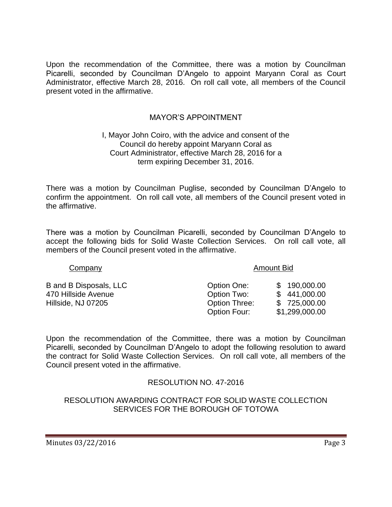Upon the recommendation of the Committee, there was a motion by Councilman Picarelli, seconded by Councilman D'Angelo to appoint Maryann Coral as Court Administrator, effective March 28, 2016. On roll call vote, all members of the Council present voted in the affirmative.

## MAYOR'S APPOINTMENT

#### I, Mayor John Coiro, with the advice and consent of the Council do hereby appoint Maryann Coral as Court Administrator, effective March 28, 2016 for a term expiring December 31, 2016.

There was a motion by Councilman Puglise, seconded by Councilman D'Angelo to confirm the appointment. On roll call vote, all members of the Council present voted in the affirmative.

There was a motion by Councilman Picarelli, seconded by Councilman D'Angelo to accept the following bids for Solid Waste Collection Services. On roll call vote, all members of the Council present voted in the affirmative.

B and B Disposals, LLC 470 Hillside Avenue Hillside, NJ 07205

Company **Amount Bid** 

| Option One:          | \$190,000.00   |
|----------------------|----------------|
| Option Two:          | \$441,000.00   |
| <b>Option Three:</b> | \$725,000.00   |
| Option Four:         | \$1,299,000.00 |

Upon the recommendation of the Committee, there was a motion by Councilman Picarelli, seconded by Councilman D'Angelo to adopt the following resolution to award the contract for Solid Waste Collection Services. On roll call vote, all members of the Council present voted in the affirmative.

# RESOLUTION NO. 47-2016

RESOLUTION AWARDING CONTRACT FOR SOLID WASTE COLLECTION SERVICES FOR THE BOROUGH OF TOTOWA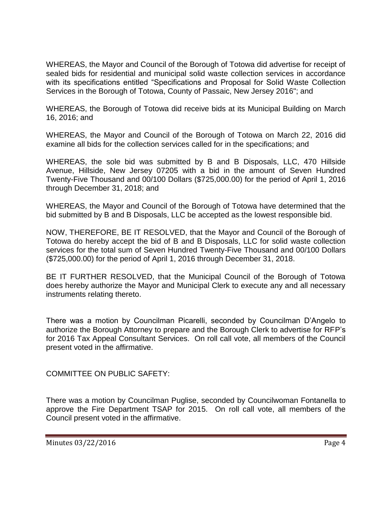WHEREAS, the Mayor and Council of the Borough of Totowa did advertise for receipt of sealed bids for residential and municipal solid waste collection services in accordance with its specifications entitled "Specifications and Proposal for Solid Waste Collection Services in the Borough of Totowa, County of Passaic, New Jersey 2016"; and

WHEREAS, the Borough of Totowa did receive bids at its Municipal Building on March 16, 2016; and

WHEREAS, the Mayor and Council of the Borough of Totowa on March 22, 2016 did examine all bids for the collection services called for in the specifications; and

WHEREAS, the sole bid was submitted by B and B Disposals, LLC, 470 Hillside Avenue, Hillside, New Jersey 07205 with a bid in the amount of Seven Hundred Twenty-Five Thousand and 00/100 Dollars (\$725,000.00) for the period of April 1, 2016 through December 31, 2018; and

WHEREAS, the Mayor and Council of the Borough of Totowa have determined that the bid submitted by B and B Disposals, LLC be accepted as the lowest responsible bid.

NOW, THEREFORE, BE IT RESOLVED, that the Mayor and Council of the Borough of Totowa do hereby accept the bid of B and B Disposals, LLC for solid waste collection services for the total sum of Seven Hundred Twenty-Five Thousand and 00/100 Dollars (\$725,000.00) for the period of April 1, 2016 through December 31, 2018.

BE IT FURTHER RESOLVED, that the Municipal Council of the Borough of Totowa does hereby authorize the Mayor and Municipal Clerk to execute any and all necessary instruments relating thereto.

There was a motion by Councilman Picarelli, seconded by Councilman D'Angelo to authorize the Borough Attorney to prepare and the Borough Clerk to advertise for RFP's for 2016 Tax Appeal Consultant Services. On roll call vote, all members of the Council present voted in the affirmative.

COMMITTEE ON PUBLIC SAFETY:

There was a motion by Councilman Puglise, seconded by Councilwoman Fontanella to approve the Fire Department TSAP for 2015. On roll call vote, all members of the Council present voted in the affirmative.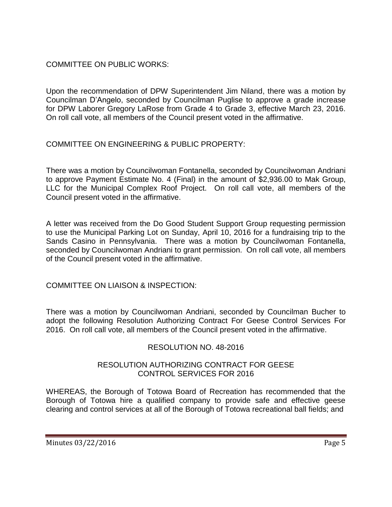COMMITTEE ON PUBLIC WORKS:

Upon the recommendation of DPW Superintendent Jim Niland, there was a motion by Councilman D'Angelo, seconded by Councilman Puglise to approve a grade increase for DPW Laborer Gregory LaRose from Grade 4 to Grade 3, effective March 23, 2016. On roll call vote, all members of the Council present voted in the affirmative.

COMMITTEE ON ENGINEERING & PUBLIC PROPERTY:

There was a motion by Councilwoman Fontanella, seconded by Councilwoman Andriani to approve Payment Estimate No. 4 (Final) in the amount of \$2,936.00 to Mak Group, LLC for the Municipal Complex Roof Project. On roll call vote, all members of the Council present voted in the affirmative.

A letter was received from the Do Good Student Support Group requesting permission to use the Municipal Parking Lot on Sunday, April 10, 2016 for a fundraising trip to the Sands Casino in Pennsylvania. There was a motion by Councilwoman Fontanella, seconded by Councilwoman Andriani to grant permission. On roll call vote, all members of the Council present voted in the affirmative.

COMMITTEE ON LIAISON & INSPECTION:

There was a motion by Councilwoman Andriani, seconded by Councilman Bucher to adopt the following Resolution Authorizing Contract For Geese Control Services For 2016. On roll call vote, all members of the Council present voted in the affirmative.

# RESOLUTION NO. 48-2016

## RESOLUTION AUTHORIZING CONTRACT FOR GEESE CONTROL SERVICES FOR 2016

WHEREAS, the Borough of Totowa Board of Recreation has recommended that the Borough of Totowa hire a qualified company to provide safe and effective geese clearing and control services at all of the Borough of Totowa recreational ball fields; and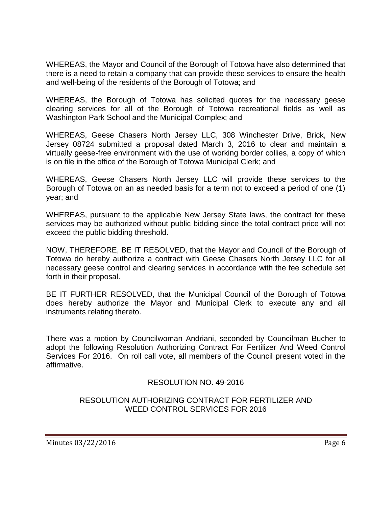WHEREAS, the Mayor and Council of the Borough of Totowa have also determined that there is a need to retain a company that can provide these services to ensure the health and well-being of the residents of the Borough of Totowa; and

WHEREAS, the Borough of Totowa has solicited quotes for the necessary geese clearing services for all of the Borough of Totowa recreational fields as well as Washington Park School and the Municipal Complex; and

WHEREAS, Geese Chasers North Jersey LLC, 308 Winchester Drive, Brick, New Jersey 08724 submitted a proposal dated March 3, 2016 to clear and maintain a virtually geese-free environment with the use of working border collies, a copy of which is on file in the office of the Borough of Totowa Municipal Clerk; and

WHEREAS, Geese Chasers North Jersey LLC will provide these services to the Borough of Totowa on an as needed basis for a term not to exceed a period of one (1) year; and

WHEREAS, pursuant to the applicable New Jersey State laws, the contract for these services may be authorized without public bidding since the total contract price will not exceed the public bidding threshold.

NOW, THEREFORE, BE IT RESOLVED, that the Mayor and Council of the Borough of Totowa do hereby authorize a contract with Geese Chasers North Jersey LLC for all necessary geese control and clearing services in accordance with the fee schedule set forth in their proposal.

BE IT FURTHER RESOLVED, that the Municipal Council of the Borough of Totowa does hereby authorize the Mayor and Municipal Clerk to execute any and all instruments relating thereto.

There was a motion by Councilwoman Andriani, seconded by Councilman Bucher to adopt the following Resolution Authorizing Contract For Fertilizer And Weed Control Services For 2016. On roll call vote, all members of the Council present voted in the affirmative.

# RESOLUTION NO. 49-2016

## RESOLUTION AUTHORIZING CONTRACT FOR FERTILIZER AND WEED CONTROL SERVICES FOR 2016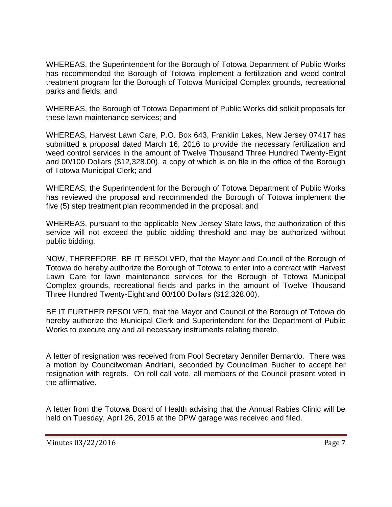WHEREAS, the Superintendent for the Borough of Totowa Department of Public Works has recommended the Borough of Totowa implement a fertilization and weed control treatment program for the Borough of Totowa Municipal Complex grounds, recreational parks and fields; and

WHEREAS, the Borough of Totowa Department of Public Works did solicit proposals for these lawn maintenance services; and

WHEREAS, Harvest Lawn Care, P.O. Box 643, Franklin Lakes, New Jersey 07417 has submitted a proposal dated March 16, 2016 to provide the necessary fertilization and weed control services in the amount of Twelve Thousand Three Hundred Twenty-Eight and 00/100 Dollars (\$12,328.00), a copy of which is on file in the office of the Borough of Totowa Municipal Clerk; and

WHEREAS, the Superintendent for the Borough of Totowa Department of Public Works has reviewed the proposal and recommended the Borough of Totowa implement the five (5) step treatment plan recommended in the proposal; and

WHEREAS, pursuant to the applicable New Jersey State laws, the authorization of this service will not exceed the public bidding threshold and may be authorized without public bidding.

NOW, THEREFORE, BE IT RESOLVED, that the Mayor and Council of the Borough of Totowa do hereby authorize the Borough of Totowa to enter into a contract with Harvest Lawn Care for lawn maintenance services for the Borough of Totowa Municipal Complex grounds, recreational fields and parks in the amount of Twelve Thousand Three Hundred Twenty-Eight and 00/100 Dollars (\$12,328.00).

BE IT FURTHER RESOLVED, that the Mayor and Council of the Borough of Totowa do hereby authorize the Municipal Clerk and Superintendent for the Department of Public Works to execute any and all necessary instruments relating thereto.

A letter of resignation was received from Pool Secretary Jennifer Bernardo. There was a motion by Councilwoman Andriani, seconded by Councilman Bucher to accept her resignation with regrets. On roll call vote, all members of the Council present voted in the affirmative.

A letter from the Totowa Board of Health advising that the Annual Rabies Clinic will be held on Tuesday, April 26, 2016 at the DPW garage was received and filed.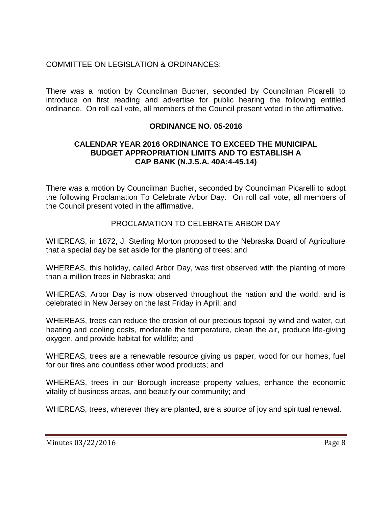# COMMITTEE ON LEGISLATION & ORDINANCES:

There was a motion by Councilman Bucher, seconded by Councilman Picarelli to introduce on first reading and advertise for public hearing the following entitled ordinance. On roll call vote, all members of the Council present voted in the affirmative.

# **ORDINANCE NO. 05-2016**

#### **CALENDAR YEAR 2016 ORDINANCE TO EXCEED THE MUNICIPAL BUDGET APPROPRIATION LIMITS AND TO ESTABLISH A CAP BANK (N.J.S.A. 40A:4-45.14)**

There was a motion by Councilman Bucher, seconded by Councilman Picarelli to adopt the following Proclamation To Celebrate Arbor Day. On roll call vote, all members of the Council present voted in the affirmative.

## PROCLAMATION TO CELEBRATE ARBOR DAY

WHEREAS, in 1872, J. Sterling Morton proposed to the Nebraska Board of Agriculture that a special day be set aside for the planting of trees; and

WHEREAS, this holiday, called Arbor Day, was first observed with the planting of more than a million trees in Nebraska; and

WHEREAS, Arbor Day is now observed throughout the nation and the world, and is celebrated in New Jersey on the last Friday in April; and

WHEREAS, trees can reduce the erosion of our precious topsoil by wind and water, cut heating and cooling costs, moderate the temperature, clean the air, produce life-giving oxygen, and provide habitat for wildlife; and

WHEREAS, trees are a renewable resource giving us paper, wood for our homes, fuel for our fires and countless other wood products; and

WHEREAS, trees in our Borough increase property values, enhance the economic vitality of business areas, and beautify our community; and

WHEREAS, trees, wherever they are planted, are a source of joy and spiritual renewal.